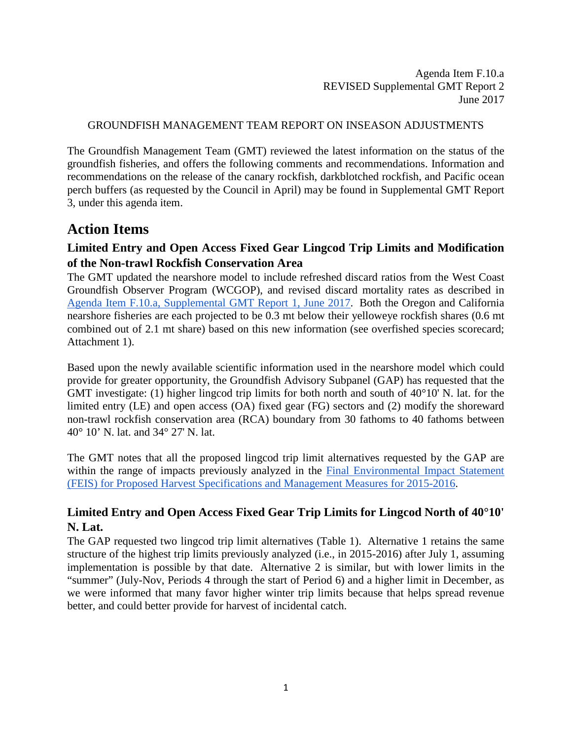Agenda Item F.10.a REVISED Supplemental GMT Report 2 June 2017

#### GROUNDFISH MANAGEMENT TEAM REPORT ON INSEASON ADJUSTMENTS

The Groundfish Management Team (GMT) reviewed the latest information on the status of the groundfish fisheries, and offers the following comments and recommendations. Information and recommendations on the release of the canary rockfish, darkblotched rockfish, and Pacific ocean perch buffers (as requested by the Council in April) may be found in Supplemental GMT Report 3, under this agenda item.

## **Action Items**

#### **Limited Entry and Open Access Fixed Gear Lingcod Trip Limits and Modification of the Non-trawl Rockfish Conservation Area**

The GMT updated the nearshore model to include refreshed discard ratios from the West Coast Groundfish Observer Program (WCGOP), and revised discard mortality rates as described in [Agenda Item F.10.a, Supplemental GMT Report 1, June 2017.](http://www.pcouncil.org/wp-content/uploads/2017/06/F10a_Sup_GMT_Rpt_InseasonRpt1-Final_DMRS_for_BB_and_WCGOP_Jun2017BB.pdf) Both the Oregon and California nearshore fisheries are each projected to be 0.3 mt below their yelloweye rockfish shares (0.6 mt combined out of 2.1 mt share) based on this new information (see overfished species scorecard; Attachment 1).

Based upon the newly available scientific information used in the nearshore model which could provide for greater opportunity, the Groundfish Advisory Subpanel (GAP) has requested that the GMT investigate: (1) higher lingcod trip limits for both north and south of 40°10' N. lat. for the limited entry (LE) and open access (OA) fixed gear (FG) sectors and (2) modify the shoreward non-trawl rockfish conservation area (RCA) boundary from 30 fathoms to 40 fathoms between 40° 10' N. lat. and 34° 27' N. lat.

The GMT notes that all the proposed lingcod trip limit alternatives requested by the GAP are within the range of impacts previously analyzed in the Final Environmental Impact Statement [\(FEIS\) for Proposed Harvest Specifications and Management Measures for 2015-2016.](http://www.pcouncil.org/wp-content/uploads/GF15_16_SpexFEISJanuary2015.pdf)

## **Limited Entry and Open Access Fixed Gear Trip Limits for Lingcod North of 40°10' N. Lat.**

The GAP requested two lingcod trip limit alternatives [\(Table 1\)](#page-1-0). Alternative 1 retains the same structure of the highest trip limits previously analyzed (i.e., in 2015-2016) after July 1, assuming implementation is possible by that date. Alternative 2 is similar, but with lower limits in the "summer" (July-Nov, Periods 4 through the start of Period 6) and a higher limit in December, as we were informed that many favor higher winter trip limits because that helps spread revenue better, and could better provide for harvest of incidental catch.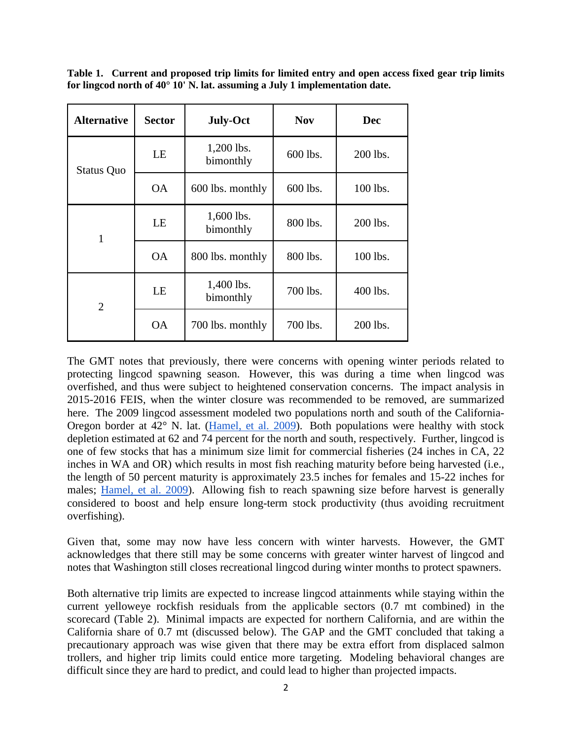<span id="page-1-0"></span>**Table 1. Current and proposed trip limits for limited entry and open access fixed gear trip limits for lingcod north of 40° 10' N. lat. assuming a July 1 implementation date.**

| <b>Alternative</b> | <b>Sector</b> | <b>July-Oct</b>              | <b>Nov</b> | <b>Dec</b> |  |
|--------------------|---------------|------------------------------|------------|------------|--|
| <b>Status Quo</b>  | LE            | 1,200 lbs.<br>bimonthly      | 600 lbs.   | 200 lbs.   |  |
|                    | <b>OA</b>     | 600 lbs.<br>600 lbs. monthly |            | 100 lbs.   |  |
| 1                  | LE            | 1,600 lbs.<br>bimonthly      | 800 lbs.   | 200 lbs.   |  |
|                    | <b>OA</b>     | 800 lbs. monthly             | 800 lbs.   | 100 lbs.   |  |
| $\overline{2}$     | LE            | 1,400 lbs.<br>bimonthly      | 700 lbs.   | 400 lbs.   |  |
|                    | <b>OA</b>     | 700 lbs. monthly             | 700 lbs.   | 200 lbs.   |  |

The GMT notes that previously, there were concerns with opening winter periods related to protecting lingcod spawning season. However, this was during a time when lingcod was overfished, and thus were subject to heightened conservation concerns. The impact analysis in 2015-2016 FEIS, when the winter closure was recommended to be removed, are summarized here. The 2009 lingcod assessment modeled two populations north and south of the California-Oregon border at 42° N. lat. [\(Hamel, et al. 2009\)](http://www.pcouncil.org/wp-content/uploads/Lingcod_Assessment_2009_Final_SAFE_version.pdf). Both populations were healthy with stock depletion estimated at 62 and 74 percent for the north and south, respectively. Further, lingcod is one of few stocks that has a minimum size limit for commercial fisheries (24 inches in CA, 22 inches in WA and OR) which results in most fish reaching maturity before being harvested (i.e., the length of 50 percent maturity is approximately 23.5 inches for females and 15-22 inches for males; [Hamel, et al. 2009\)](http://www.pcouncil.org/wp-content/uploads/Lingcod_Assessment_2009_Final_SAFE_version.pdf). Allowing fish to reach spawning size before harvest is generally considered to boost and help ensure long-term stock productivity (thus avoiding recruitment overfishing).

Given that, some may now have less concern with winter harvests. However, the GMT acknowledges that there still may be some concerns with greater winter harvest of lingcod and notes that Washington still closes recreational lingcod during winter months to protect spawners.

Both alternative trip limits are expected to increase lingcod attainments while staying within the current yelloweye rockfish residuals from the applicable sectors (0.7 mt combined) in the scorecard (Table 2). Minimal impacts are expected for northern California, and are within the California share of 0.7 mt (discussed below). The GAP and the GMT concluded that taking a precautionary approach was wise given that there may be extra effort from displaced salmon trollers, and higher trip limits could entice more targeting. Modeling behavioral changes are difficult since they are hard to predict, and could lead to higher than projected impacts.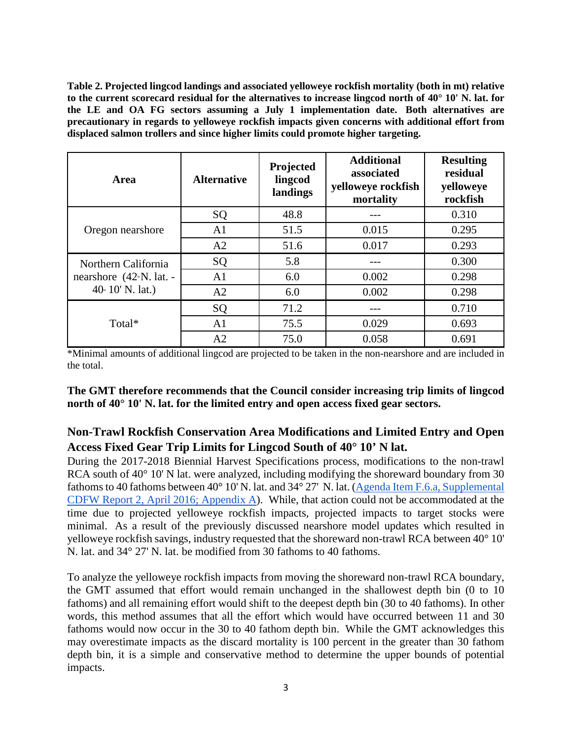<span id="page-2-0"></span>**Table 2. Projected lingcod landings and associated yelloweye rockfish mortality (both in mt) relative to the current scorecard residual for the alternatives to increase lingcod north of 40° 10' N. lat. for the LE and OA FG sectors assuming a July 1 implementation date. Both alternatives are precautionary in regards to yelloweye rockfish impacts given concerns with additional effort from displaced salmon trollers and since higher limits could promote higher targeting.**

| Area                                 | <b>Alternative</b> | Projected<br>lingcod<br>landings | <b>Additional</b><br>associated<br>yelloweye rockfish<br>mortality | <b>Resulting</b><br>residual<br>yelloweye<br>rockfish |  |
|--------------------------------------|--------------------|----------------------------------|--------------------------------------------------------------------|-------------------------------------------------------|--|
|                                      | SQ                 | 48.8                             |                                                                    | 0.310                                                 |  |
| Oregon nearshore                     | A <sub>1</sub>     | 51.5                             | 0.015                                                              | 0.295                                                 |  |
|                                      | A2                 | 51.6                             | 0.017                                                              | 0.293                                                 |  |
| Northern California                  | SQ                 | 5.8                              |                                                                    | 0.300                                                 |  |
| nearshore $(42\textdegree N.$ lat. - | A <sub>1</sub>     | 6.0                              | 0.002                                                              | 0.298                                                 |  |
| $40° 10' N.$ lat.)                   | A2                 | 6.0                              | 0.002                                                              | 0.298                                                 |  |
|                                      | SQ                 | 71.2                             |                                                                    | 0.710                                                 |  |
| Total*                               | A <sub>1</sub>     | 75.5                             | 0.029                                                              | 0.693                                                 |  |
|                                      | A2                 | 75.0                             | 0.058                                                              | 0.691                                                 |  |

\*Minimal amounts of additional lingcod are projected to be taken in the non-nearshore and are included in the total.

**The GMT therefore recommends that the Council consider increasing trip limits of lingcod north of 40° 10' N. lat. for the limited entry and open access fixed gear sectors.**

## **Non-Trawl Rockfish Conservation Area Modifications and Limited Entry and Open Access Fixed Gear Trip Limits for Lingcod South of 40° 10' N lat.**

During the 2017-2018 Biennial Harvest Specifications process, modifications to the non-trawl RCA south of 40° 10' N lat. were analyzed, including modifying the shoreward boundary from 30 fathoms to 40 fathoms between 40° 10' N. lat. and 34° 27' N. lat. [\(Agenda Item F.6.a, Supplemental](http://www.pcouncil.org/wp-content/uploads/2016/04/F6a_Sup_CDFW_Rpt2_APR2016BB.pdf)  [CDFW Report 2, April 2016;](http://www.pcouncil.org/wp-content/uploads/2016/04/F6a_Sup_CDFW_Rpt2_APR2016BB.pdf) Appendix A). While, that action could not be accommodated at the time due to projected yelloweye rockfish impacts, projected impacts to target stocks were minimal. As a result of the previously discussed nearshore model updates which resulted in yelloweye rockfish savings, industry requested that the shoreward non-trawl RCA between 40° 10' N. lat. and 34° 27' N. lat. be modified from 30 fathoms to 40 fathoms.

To analyze the yelloweye rockfish impacts from moving the shoreward non-trawl RCA boundary, the GMT assumed that effort would remain unchanged in the shallowest depth bin (0 to 10 fathoms) and all remaining effort would shift to the deepest depth bin (30 to 40 fathoms). In other words, this method assumes that all the effort which would have occurred between 11 and 30 fathoms would now occur in the 30 to 40 fathom depth bin. While the GMT acknowledges this may overestimate impacts as the discard mortality is 100 percent in the greater than 30 fathom depth bin, it is a simple and conservative method to determine the upper bounds of potential impacts.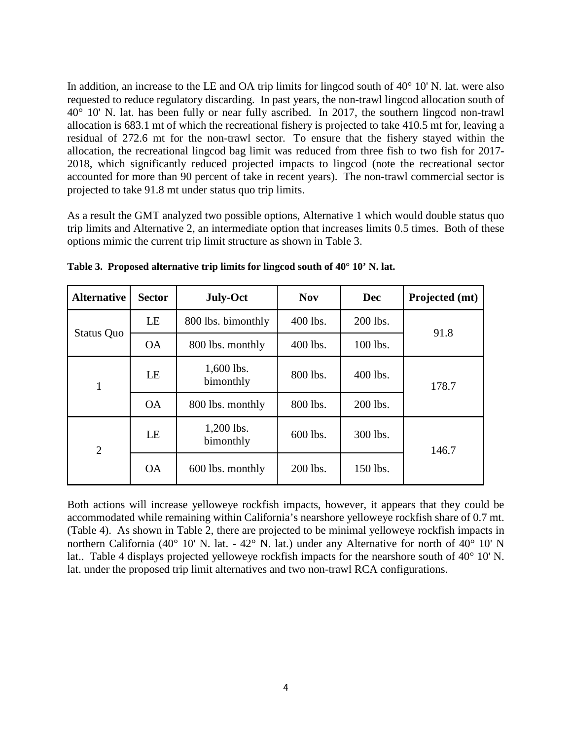In addition, an increase to the LE and OA trip limits for lingcod south of 40° 10' N. lat. were also requested to reduce regulatory discarding. In past years, the non-trawl lingcod allocation south of 40° 10' N. lat. has been fully or near fully ascribed. In 2017, the southern lingcod non-trawl allocation is 683.1 mt of which the recreational fishery is projected to take 410.5 mt for, leaving a residual of 272.6 mt for the non-trawl sector. To ensure that the fishery stayed within the allocation, the recreational lingcod bag limit was reduced from three fish to two fish for 2017- 2018, which significantly reduced projected impacts to lingcod (note the recreational sector accounted for more than 90 percent of take in recent years). The non-trawl commercial sector is projected to take 91.8 mt under status quo trip limits.

As a result the GMT analyzed two possible options, Alternative 1 which would double status quo trip limits and Alternative 2, an intermediate option that increases limits 0.5 times. Both of these options mimic the current trip limit structure as shown in [Table 3.](#page-3-0)

| <b>Alternative</b> | <b>Sector</b> | <b>July-Oct</b>         | <b>Nov</b> | <b>Dec</b> | Projected (mt) |  |
|--------------------|---------------|-------------------------|------------|------------|----------------|--|
| Status Quo         | LE            | 800 lbs. bimonthly      | 400 lbs.   | 200 lbs.   |                |  |
|                    | <b>OA</b>     | 800 lbs. monthly        | 400 lbs.   | 100 lbs.   | 91.8           |  |
| 1                  | LE            | 1,600 lbs.<br>bimonthly | 800 lbs.   | 400 lbs.   | 178.7          |  |
|                    | <b>OA</b>     | 800 lbs. monthly        | 800 lbs.   | 200 lbs.   |                |  |
| $\overline{2}$     | LE            | 1,200 lbs.<br>bimonthly | 600 lbs.   | 300 lbs.   | 146.7          |  |
|                    | <b>OA</b>     | 600 lbs. monthly        | 200 lbs.   | 150 lbs.   |                |  |

<span id="page-3-0"></span>**Table 3. Proposed alternative trip limits for lingcod south of 40° 10' N. lat.**

Both actions will increase yelloweye rockfish impacts, however, it appears that they could be accommodated while remaining within California's nearshore yelloweye rockfish share of 0.7 mt. [\(Table 4\)](#page-4-0). As shown in [Table 2,](#page-2-0) there are projected to be minimal yelloweye rockfish impacts in northern California (40° 10' N. lat. - 42° N. lat.) under any Alternative for north of 40° 10' N lat.. [Table 4](#page-4-0) displays projected yelloweye rockfish impacts for the nearshore south of 40° 10' N. lat. under the proposed trip limit alternatives and two non-trawl RCA configurations.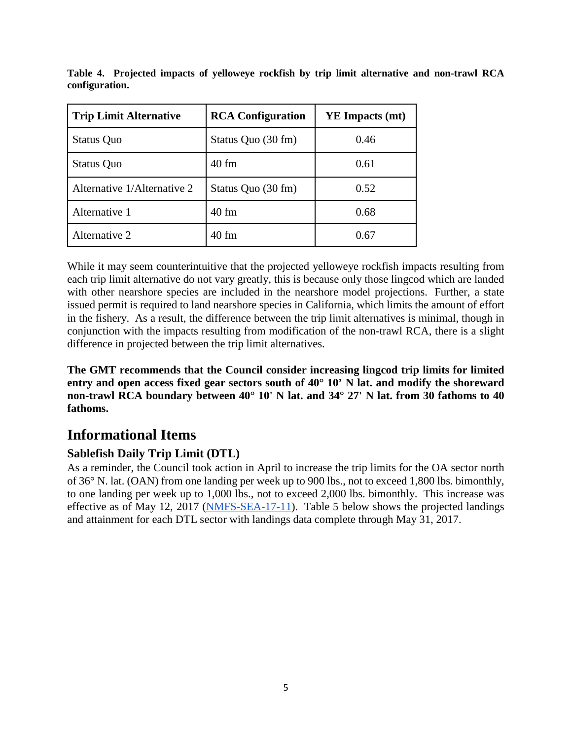| <b>Trip Limit Alternative</b> | <b>RCA Configuration</b> | YE Impacts (mt) |  |  |
|-------------------------------|--------------------------|-----------------|--|--|
| <b>Status Quo</b>             | Status Quo (30 fm)       | 0.46            |  |  |
| <b>Status Quo</b>             | $40$ fm                  | 0.61            |  |  |
| Alternative 1/Alternative 2   | Status Quo (30 fm)       | 0.52            |  |  |
| Alternative 1                 | $40$ fm                  | 0.68            |  |  |
| Alternative 2                 | $40$ fm                  | 0.67            |  |  |

<span id="page-4-0"></span>**Table 4. Projected impacts of yelloweye rockfish by trip limit alternative and non-trawl RCA configuration.** 

While it may seem counterintuitive that the projected yelloweye rockfish impacts resulting from each trip limit alternative do not vary greatly, this is because only those lingcod which are landed with other nearshore species are included in the nearshore model projections. Further, a state issued permit is required to land nearshore species in California, which limits the amount of effort in the fishery. As a result, the difference between the trip limit alternatives is minimal, though in conjunction with the impacts resulting from modification of the non-trawl RCA, there is a slight difference in projected between the trip limit alternatives.

**The GMT recommends that the Council consider increasing lingcod trip limits for limited entry and open access fixed gear sectors south of 40° 10' N lat. and modify the shoreward non-trawl RCA boundary between 40° 10' N lat. and 34° 27' N lat. from 30 fathoms to 40 fathoms.**

# **Informational Items**

## **Sablefish Daily Trip Limit (DTL)**

As a reminder, the Council took action in April to increase the trip limits for the OA sector north of 36° N. lat. (OAN) from one landing per week up to 900 lbs., not to exceed 1,800 lbs. bimonthly, to one landing per week up to 1,000 lbs., not to exceed 2,000 lbs. bimonthly. This increase was effective as of May 12, 2017 [\(NMFS-SEA-17-11\)](http://www.westcoast.fisheries.noaa.gov/publications/fishery_management/groundfish/public_notices/nmfs-sea-17-11.pdf). [Table 5](#page-5-0) below shows the projected landings and attainment for each DTL sector with landings data complete through May 31, 2017.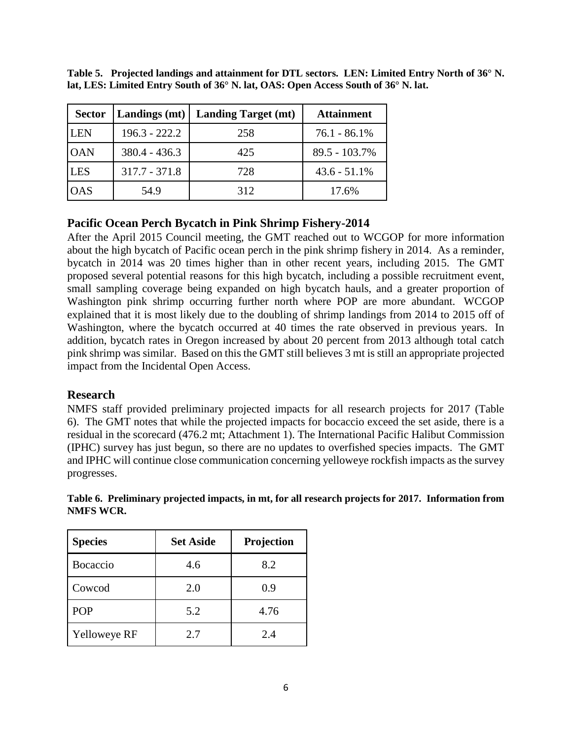| <b>Sector</b> | Landings (mt)   | <b>Landing Target (mt)</b> | <b>Attainment</b> |
|---------------|-----------------|----------------------------|-------------------|
| <b>LEN</b>    | $196.3 - 222.2$ | 258                        | 76.1 - 86.1%      |
| <b>OAN</b>    | $380.4 - 436.3$ | 425                        | $89.5 - 103.7\%$  |
| <b>LES</b>    | $317.7 - 371.8$ | 728                        | $43.6 - 51.1\%$   |
| <b>OAS</b>    | 54.9            | 312                        | 17.6%             |

<span id="page-5-0"></span>**Table 5. Projected landings and attainment for DTL sectors. LEN: Limited Entry North of 36° N. lat, LES: Limited Entry South of 36° N. lat, OAS: Open Access South of 36° N. lat.**

#### **Pacific Ocean Perch Bycatch in Pink Shrimp Fishery-2014**

After the April 2015 Council meeting, the GMT reached out to WCGOP for more information about the high bycatch of Pacific ocean perch in the pink shrimp fishery in 2014. As a reminder, bycatch in 2014 was 20 times higher than in other recent years, including 2015. The GMT proposed several potential reasons for this high bycatch, including a possible recruitment event, small sampling coverage being expanded on high bycatch hauls, and a greater proportion of Washington pink shrimp occurring further north where POP are more abundant. WCGOP explained that it is most likely due to the doubling of shrimp landings from 2014 to 2015 off of Washington, where the bycatch occurred at 40 times the rate observed in previous years. In addition, bycatch rates in Oregon increased by about 20 percent from 2013 although total catch pink shrimp was similar. Based on this the GMT still believes 3 mt is still an appropriate projected impact from the Incidental Open Access.

#### **Research**

NMFS staff provided preliminary projected impacts for all research projects for 2017 [\(Table](#page-5-1)  [6\)](#page-5-1). The GMT notes that while the projected impacts for bocaccio exceed the set aside, there is a residual in the scorecard (476.2 mt; Attachment 1). The International Pacific Halibut Commission (IPHC) survey has just begun, so there are no updates to overfished species impacts. The GMT and IPHC will continue close communication concerning yelloweye rockfish impacts as the survey progresses.

| I WILD TI VIN   |                  |            |
|-----------------|------------------|------------|
| <b>Species</b>  | <b>Set Aside</b> | Projection |
| <b>Rocaccio</b> |                  |            |

<span id="page-5-1"></span>**Table 6. Preliminary projected impacts, in mt, for all research projects for 2017. Information from NMFS WCR.**

| <b>Bocaccio</b> | 4.6 | 8.2  |
|-----------------|-----|------|
| Cowcod          | 2.0 | 0.9  |
| <b>POP</b>      | 5.2 | 4.76 |
| Yelloweye RF    | 2.7 | 2.4  |
|                 |     |      |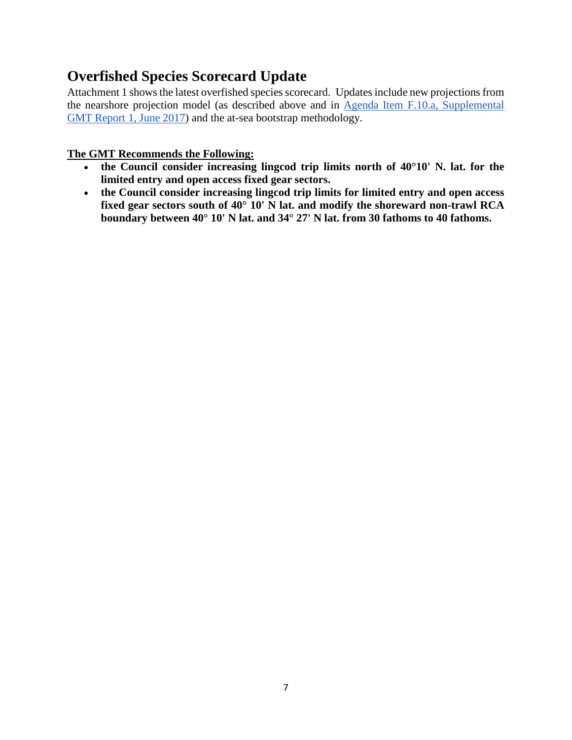# **Overfished Species Scorecard Update**

Attachment 1 shows the latest overfished species scorecard. Updates include new projections from the nearshore projection model (as described above and in [Agenda Item F.10.a, Supplemental](http://www.pcouncil.org/wp-content/uploads/2017/06/F10a_Sup_GMT_Rpt_InseasonRpt1-Final_DMRS_for_BB_and_WCGOP_Jun2017BB.pdf)  [GMT Report 1, June 2017\)](http://www.pcouncil.org/wp-content/uploads/2017/06/F10a_Sup_GMT_Rpt_InseasonRpt1-Final_DMRS_for_BB_and_WCGOP_Jun2017BB.pdf) and the at-sea bootstrap methodology.

#### **The GMT Recommends the Following:**

- **the Council consider increasing lingcod trip limits north of 40°10' N. lat. for the limited entry and open access fixed gear sectors.**
- **the Council consider increasing lingcod trip limits for limited entry and open access fixed gear sectors south of 40° 10' N lat. and modify the shoreward non-trawl RCA boundary between 40° 10' N lat. and 34° 27' N lat. from 30 fathoms to 40 fathoms.**